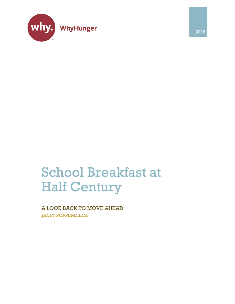

2016

# School Breakfast at Half Century

A LOOK BACK TO MOVE AHEAD JANET POPPENDIECK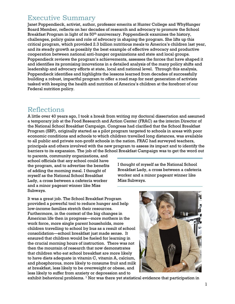# Executive Summary

Janet Poppendieck, activist, author, professor emerita at Hunter College and WhyHunger Board Member, reflects on her decades of research and advocacy to promote the School Breakfast Program in light of its  $50<sup>th</sup>$  anniversary. Poppendieck examines the history, challenges, policy gains and role of advocacy in shaping the program. She lifts up this critical program, which provided 2.3 billion nutritious meals to America's children last year, and its steady growth as possibly the best example of effective advocacy and productive cooperation between national anti-hunger organizations and state and local groups. Poppendieck reviews the program's achievements, assesses the forces that have shaped it and identifies its promising innovations in a detailed analysis of the many policy shifts and leadership and advocacy efforts at state, local and national level. Through this analysis, Poppendieck identifies and highlights the lessons learned from decades of successfully building a robust, impactful program to offer a road map for next generation of activists tasked with keeping the health and nutrition of America's children at the forefront of our Federal nutrition policy.

# Reflections

A little over 40 years ago, I took a break from writing my doctoral dissertation and assumed a temporary job at the Food Research and Action Center (FRAC) as the interim Director of the National School Breakfast Campaign. Congress had clarified that the School Breakfast Program (SBP), originally started as a pilot program targeted to schools in areas with poor economic conditions and schools to which children travelled long distances, was available to all public and private non-profit schools in the nation. FRAC had surveyed teachers, principals and others involved with the new program to assess its impact and to identify the barriers to its expansion. The job of the School Breakfast Campaign was to get the word out

to parents, community organizations, and school officials that any school could have the program, and to advertise the benefits of adding the morning meal. I thought of myself as the National School Breakfast Lady, a cross between a cafeteria worker and a minor pageant winner like Miss Subways.

I thought of myself as the National School Breakfast Lady, a cross between a cafeteria worker and a minor pageant winner like Miss Subways.

It was a great job. The School Breakfast Program provided a powerful tool to reduce hunger and help low-income families stretch their resources. Furthermore, in the context of the big changes in American life then in progress—more mothers in the work force, more single parent households, more children travelling to school by bus as a result of school consolidation—school breakfast just made sense. It ensured that children would be fueled for learning in the crucial morning hours of instruction. There was not then the mountain of research that now demonstrates that children who eat school breakfast are more likely to have diets adequate in vitamin C, vitamin A, calcium, and phosphorous, more likely to consume fruit and milk at breakfast, less likely to be overweight or obese, and less likely to suffer from anxiety or depression and to



exhibit behavioral problems. <sup>1</sup> Nor was there yet statistical evidence that participation in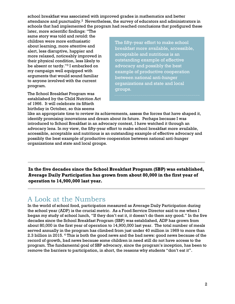school breakfast was associated with improved grades in mathematics and better attendance and punctuality.<sup>2</sup> Nevertheless, the survey of educators and administrators in schools that had implemented the program had reached conclusions that prefigured these

later, more scientific findings: "The same story was told and retold: the children were more enthusiastic about learning, more attentive and alert, less disruptive, happier and more relaxed, noticeably improved in their physical condition, less likely to be absent or tardy."<sup>3</sup> I embarked on my campaign well equipped with arguments that would sound familiar to anyone involved with the current program.

The School Breakfast Program was established by the Child Nutrition Act of 1966. It will celebrate its fiftieth birthday in October, so this seems

The fifty-year effort to make school breakfast more available, accessible, acceptable and nutritious is an outstanding example of effective advocacy and possibly the best example of productive cooperation between national anti-hunger organizations and state and local groups.

like an appropriate time to review its achievements, assess the forces that have shaped it, identify promising innovations and dream about its future. Perhaps because I was introduced to School Breakfast in an advocacy context, I have watched it through an advocacy lens. In my view, the fifty-year effort to make school breakfast more available, accessible, acceptable and nutritious is an outstanding example of effective advocacy and possibly the best example of productive cooperation between national anti-hunger organizations and state and local groups.

**In the five decades since the School Breakfast Program (SBP) was established, Average Daily Participation has grown from about 80,000 in the first year of operation to 14,900,000 last year.**

# A Look at the Numbers

In the world of school food, participation measured as Average Daily Participation during the school year (ADP) is the crucial metric. As a Food Service Director said to me when I began my study of school lunch, "If they don't eat it, it doesn't do them any good." In the five decades since the School Breakfast Program (SBP) was established, ADP has grown from about 80,000 in the first year of operation to 14,900,000 last year. The total number of meals served annually in the program has climbed from just under 40 million in 1969 to more than 2.3 billion in 2015. <sup>4</sup> This is both the good news and the bad news: good news because of the record of growth, bad news because some children in need still do not have access to the program. The fundamental goal of SBP advocacy, since the program's inception, has been to remove the barriers to participation, in short, the reasons why students "don't eat it".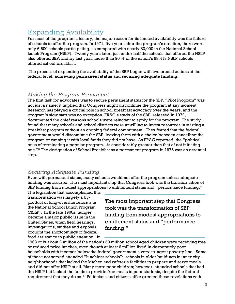# Expanding Availability

For most of the program's history, the major reason for its limited availability was the failure of schools to offer the program. In 1971, five years after the program's creation, there were only 6,600 schools participating, as compared with nearly 80,000 in the National School Lunch Program (NSLP). Twenty years later, just under half the schools that offered the NSLP also offered SBP, and by last year, more than 90 % of the nation's 98,413 NSLP schools offered school breakfast.

The process of expanding the availability of the SBP began with two crucial actions at the federal level: **achieving permanent status** and **securing adequate funding.**

### *Making the Program Permanent*

The first task for advocates was to secure permanent status for the SBP. "Pilot Program" was not just a name; it implied that Congress might discontinue the program at any moment. Research has played a crucial role in school breakfast advocacy over the years, and the program's slow start was no exception. FRAC's study of the SBP, released in 1972, documented the chief reasons schools were reluctant to apply for the program. The study found that many schools and school districts were unwilling to invest resources in starting a breakfast program without an ongoing federal commitment. They feared that the federal government would discontinue the SBP, leaving them with a choice between cancelling the program or running it with local funds they did not have. As FRAC reported, the "political onus of terminating a popular program…is considerably greater than that of not initiating one."<sup>5</sup> The designation of School Breakfast as a permanent program in 1975 was an essential step.

### *Securing Adequate Funding*

Even with permanent status, many schools would not offer the program unless adequate funding was assured. The most important step that Congress took was the transformation of SBP funding from modest appropriations to entitlement status and "performance funding."

The legislation that accomplished this transformation was largely a byproduct of long-overdue reforms in the National School Lunch Program (NSLP). In the late 1960s, hunger became a major public issue in the United States, when field hearings, investigations, studies and exposés brought the shortcomings of federal food assistance to public attention. In

The most important step that Congress took was the transformation of SBP funding from modest appropriations to entitlement status and "performance funding."

1968 only about 2 million of the nation's 50 million school aged children were receiving free or reduced price lunches, even though at least 6 million lived in desperately poor households with incomes below the federal government's very stringent poverty line. Some of those not served attended "lunchless schools": schools in older buildings in inner city neighborhoods that lacked the kitchen and cafeteria facilities to prepare and serve meals and did not offer NSLP at all. Many more poor children; however, attended schools that had the NSLP but lacked the funds to provide free meals to poor students, despite the federal requirement that they do so. $^{11}$  Politicians and citizens alike greeted these revelations with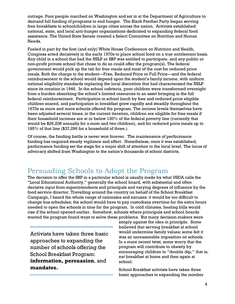outrage. Poor people marched on Washington and sat in at the Department of Agriculture to demand full funding of programs to end hunger. The Black Panther Party began serving free breakfasts to schoolchildren in large cities across the nation. Activists established national, state, and local anti-hunger organizations dedicated to expanding federal food assistance. The United State Senate created a Select Committee on Nutrition and Human Needs.

Fueled in part by the first (and only) White House Conference on Nutrition and Health, Congress acted decisively in the early 1970s to place school food on a true entitlement basis. Any child in a school that had the NSLP or SBP was entitled to participate, and any public or non-profit private school that chose to do so could offer the program(s). The federal government would pick up the tab for free meals and most of the cost for reduced price meals. Both the charge to the student—Free, Reduced Price or Full Price—and the federal reimbursement to the school would depend upon the student's family income, with uniform national eligibility standards replacing the local discretion that had characterized the NSLP since its creation in 1946. In the school cafeteria, poor children were transformed overnight from a burden absorbing the school's limited resources to an asset bringing in the full federal reimbursement. Participation in school lunch by free and reduced price eligible children soared, and participation in breakfast grew rapidly and steadily throughout the 1970s as more and more schools offered the program. The income levels themselves have been adjusted several times; in the current iteration, children are eligible for free meals if their household incomes are at or below 130% of the federal poverty line (currently that would be \$26,208 annually for a mom and two children), and for reduced price meals up to 185% of that line (\$37,296 for a household of three.)

Of course, the funding battle is never won forever. The maintenance of performance funding has required steady vigilance and effort. Nonetheless, once it was established, performance funding set the stage for a major shift of attention to the local level. The locus of advocacy shifted from Washington to the nation's thousands of school districts.

# Persuading Schools to Adopt the Program

The decision to offer the SBP in a particular school is usually made by what USDA calls the "Local Educational Authority," generally the school board, with substantial and often decisive input from superintendents and principals and varying degrees of influence by the food service director. Travelling around the country on behalf of the School Breakfast Campaign, I heard the whole range of rationales and excuses: it would be too difficult to change bus schedules; the school would have to pay custodians overtime for the extra hours needed to open the schools in time for the program. In cold climates, heating bills would rise if the school opened earlier. Somehow, schools where principals and school boards wanted the program found ways to solve these problems. But many decision-makers were

Activists have taken three basic approaches to expanding the number of schools offering the School Breakfast Program: **information, persuasion**, and **mandates.**

simply against the idea in principle. Some believed that serving breakfast at school would undermine family values; some felt it was an unreasonable imposition on schools. In a more recent twist, some worry that the program will contribute to obesity by encouraging children to "double dip," that is, eat breakfast at home and then again at school.

School Breakfast activists have taken three basic approaches to expanding the number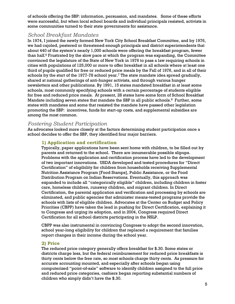of schools offering the SBP: information, persuasion, and mandates. Some of these efforts were successful, but when local school boards and individual principals resisted, activists in some communities turned to their state governments for assistance.

### *School Breakfast Mandates*

In 1974, I joined the newly formed New York City School Breakfast Committee, and by 1976, we had cajoled, pestered or threatened enough principals and district superintendents that about 440 of the system's nearly 1,000 schools were offering the breakfast program, fewer than half. <sup>6</sup> Frustrated by the slow pace at which the program was expanding, the Committee convinced the legislature of the State of New York in 1976 to pass a law requiring schools in cities with populations of 125,000 or more to offer breakfast in all schools where at least one third of pupils qualified for free or reduced price meals by the Fall of 1976, and in all of their schools by the start of the 1977-78 school year.<sup>7</sup> The state mandate idea spread gradually, shared at national gatherings of anti-hunger activists, and through various hunger newsletters and other publications. By 1991, 15 states mandated breakfast in at least some schools, most commonly specifying schools with a certain percentage of students eligible for free and reduced price meals. At present, 28 states have some form of School Breakfast Mandate including seven states that mandate the SBP in all public schools.<sup>8</sup> Further, some states with mandates and some that resisted the mandate have passed other legislation promoting the SBP: incentives, funds for start-up costs, and supplemental subsidies are among the most common.

### *Fostering Student Participation*

As advocates looked more closely at the factors determining student participation once a school decides to offer the SBP, they identified four major barriers.

#### **1) Application and certification**

Typically, paper applications have been sent home with children, to be filled out by parents and returned to the school. There are innumerable possible slipups. Problems with the application and certification process have led to the development of two important innovations. USDA developed and tested procedures for "Direct Certification" of eligibility for children from households receiving Supplemental Nutrition Assistance Program [Food Stamps], Public Assistance, or the Food Distribution Program on Indian Reservations. Eventually, this approach was expanded to include all "categorically eligible" children, including children in foster care, homeless children, runaway children, and migrant children. In Direct Certification, the parental application and verification and processing by schools are eliminated, and public agencies that administer means-tested programs provide the schools with lists of eligible children. Advocates at the Center on Budget and Policy Priorities (CBPP) have taken the lead in pushing for Direct Certification, explaining it to Congress and urging its adoption, and in 2004, Congress required Direct Certification for all school districts participating in the NSLP.

CBPP was also instrumental in convincing Congress to adopt the second innovation, school year-long eligibility for children that replaced a requirement that families report changes in their income during the school year.

#### **2) Price**

The reduced price category generally offers breakfast for \$.30. Some states or districts charge less, but the federal reimbursement for reduced price breakfasts is thirty cents below the free rate, so most schools charge thirty cents. As pressure for accurate accounting mounted, and especially after schools began using computerized "point-of-sale" software to identify children assigned to the full price and reduced price categories, cashiers began reporting substantial numbers of children who simply didn't have the \$.30.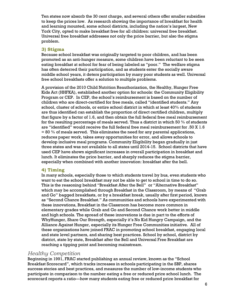Ten states now absorb the 30 cent charge, and several others offer smaller subsidies to keep the prices low. As research showing the importance of breakfast for health and learning mounted, some school districts, including the nation's largest, New York City, opted to make breakfast free for all children: universal free breakfast. Universal free breakfast addresses not only the price barrier, but also the stigma problem.

#### **3) Stigma**

Because school breakfast was originally targeted to poor children, and has been promoted as an anti-hunger measure, some children have been reluctant to be seen eating breakfast at school for fear of being labeled as "poor." The welfare stigma has often deterred their participation, and as students enter the socially aware middle school years, it deters participation by many poor students as well. Universal free school breakfasts offer a solution to multiple problems.

A provision of the 2010 Child Nutrition Reauthorization, the Healthy, Hunger Free Kids Act (HHFKA), established another option for schools: the Community Eligibility Program or CEP. In CEP, the school's reimbursement is based on the number of children who are direct-certified for free meals, called "identified students." Any school, cluster of schools, or entire school district in which at least 40% of students are thus identified can establish the proportion of direct certified children, multiply that figure by a factor of 1.6, and then obtain the full federal free meal reimbursement for the resulting percentage of meals served. Thus a district in which 50  $\%$  of students are "identified" would receive the full federal free meal reimbursement for .50 X 1.6  $= 80 \%$  of meals served. This eliminates the need for any parental applications, reduces paper work, takes away opportunities for error, and allows schools to develop inclusive meal programs. Community Eligibility began gradually in just three states and was not available to all states until 2014-15. School districts that have used CEP have shown significant increases in overall participation in breakfast and lunch. It eliminates the price barrier, and sharply reduces the stigma barrier, especially when combined with another innovation: breakfast after the bell.

#### **4) Timing**

In many schools, especially those to which students travel by bus, even students who want to eat the school breakfast may not be able to get to school in time to do so. This is the reasoning behind "Breakfast After the Bell" or "Alternative Breakfast" which may be accomplished through Breakfast in the Classroom, by means of "Grab and Go" bagged breakfasts, or by a breakfast break, usually after first period, known as "Second Chance Breakfast." As communities and schools have experimented with these innovations, Breakfast in the Classroom has become more common in elementary grades while Grab and Go and Second Chance work better in middle and high schools. The spread of these innovations is due in part to the efforts of WhyHunger, Share Our Strength, especially it's No Kid Hungry Campaign, and the Alliance Against Hunger, especially its Hunger Free Communities initiative. All of these organizations have joined FRAC in promoting school breakfast, engaging local and state level partners, and sharing best practices. School by school, district by district, state by state, Breakfast after the Bell and Universal Free Breakfast are reaching a tipping point and becoming mainstream.

### *Healthy Competition*

Beginning in 1991, FRAC started publishing an annual review, known as the "School Breakfast Scorecard", which tracks increases in schools participating in the SBP, shares success stories and best practices, and measures the number of low-income students who participate in comparison to the number eating a free or reduced price school lunch. The scorecard reports a ratio—how many students eating free or reduced price breakfast for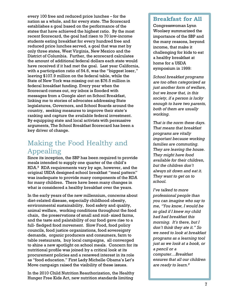every 100 free and reduced price lunches – for the nation as a whole, and for every state. The Scorecard establishes a goal based on the performance of the states that have achieved the highest ratio. By the most recent Scorecard, the goal had risen to 70 low-income students eating breakfast for every hundred free and reduced price lunches served, a goal that was met by only three states, West Virginia, New Mexico and the District of Columbia. Further, the scorecard calculates the amount of additional federal dollars each state would have received if it had met the goal. Last year California, with a participation ratio of 54.6, was the "biggest loser," leaving \$107.9 million on the federal table, while the State of New York was missing out on \$76.5 million in federal breakfast funding. Every year when the Scorecard comes out, my inbox is flooded with messages from a Google alert on School Breakfast, linking me to stories of advocates addressing State legislatures, Governors, and School Boards around the country, seeking measures to improve their state's ranking and capture the available federal investment. By equipping state and local activists with persuasive arguments, The School Breakfast Scorecard has been a key driver of change.

# Making the Food Healthy and Appealing

Since its inception, the SBP has been required to provide meals intended to supply one quarter of the child's RDA.<sup>9</sup> RDA requirements vary by age, however, and the original USDA designed school breakfast "meal pattern" was inadequate to provide many components of the RDA for many children. There have been many changes in what is considered a healthy breakfast over the years.

In the early years of the new millennium, concerns about diet-related disease, especially childhood obesity, environmental sustainability, food safety and quality, animal welfare, working conditions throughout the food chain, the preservations of small and mid- sized farms, and the taste and palatability of our food gave rise to a full- fledged food movement. Slow Food, food policy councils, food justice organizations, food sovereignty demands, organic producers and consumers, farm to table restaurants, buy local campaigns, all converged to shine a new spotlight on school meals. Concern for its nutritional profile was joined by a critical look at its procurement policies and a renewed interest in its role as "food education." First Lady Michelle Obama's Let's Move campaign raised the visibility of these issues.

In the 2010 Child Nutrition Reauthorization, the Healthy Hunger Free Kids Act, new nutrition standards limiting

### **Breakfast for All**

Congresswoman Lynn Woolsey summarized the importance of the SBP and the many reasons, beyond income, that make it challenging for kids to eat a healthy breakfast at home for a USDA symposium in 1999:

*School breakfast programs are too often categorized as just another form of welfare, but we know that, in this society, if a person is lucky enough to have two parents, both of them are usually working.*

*That is the norm these days. That means that breakfast programs are vitally important because working families are commuting. They are leaving the house. They might have food available for their children, but the children don't always sit down and eat it. They want to get on to school.* 

*I've talked to more professional people than you can imagine who say to me, "You know, I would be so glad if I knew my child had had breakfast this morning. It's there, but I don't think they ate it." So we need to look at breakfast programs as a learning tool just as we look at a book, or a pencil or a computer…Breakfast ensures that all our children are ready to learn.<sup>8</sup>*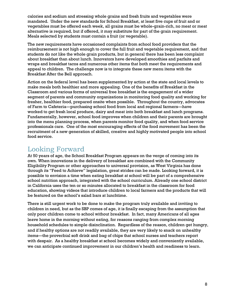calories and sodium and stressing whole grains and fresh fruits and vegetables were mandated. Under the new standards for School Breakfast, at least five cups of fruit and or vegetables must be offered each week, all grains must be whole-grain-rich, no meat or meat alternative is required, but if offered, it may substitute for part of the grain requirement. Meals selected by students must contain a fruit (or vegetable).

The new requirements have occasioned complaints from school food providers that the reimbursement is not high enough to cover the full fruit and vegetable requirement, and that students do not like the whole grain products, but in general there has been less complaint about breakfast than about lunch. Innovators have developed smoothies and parfaits and wraps and breakfast tacos and numerous other items that both meet the requirements and appeal to children. The challenge now is to integrate these new menu items with the Breakfast After the Bell approach.

Action on the federal level has been supplemented by action at the state and local levels to make meals both healthier and more appealing. One of the benefits of Breakfast in the Classroom and various forms of universal free breakfast is the engagement of a wider segment of parents and community organizations in monitoring food quality and working for fresher, healthier food, prepared onsite when possible. Throughout the country, advocates of Farm to Cafeteria—purchasing school food from local and regional farmers—have worked to get fresh local produce, dairy and meat into both breakfast and lunch programs. Fundamentally, however, school food improves when children and their parents are brought into the menu planning process, when parents monitor food quality, and when food service professionals care. One of the most encouraging effects of the food movement has been the recruitment of a new generation of skilled, creative and highly motivated people into school food service.

# Looking Forward

At 50 years of age, the School Breakfast Program appears on the verge of coming into its own. When innovations in the delivery of breakfast are combined with the Community Eligibility Program or other approaches to universal provision, as West Virginia has done through its "Feed to Achieve" legislation, great strides can be made. Looking forward, it is possible to envision a time when eating breakfast at school will be part of a comprehensive school nutrition approach, integrated with the school curriculum. Already one school district in California uses the ten or so minutes allocated to breakfast in the classroom for food education, showing videos that introduce children to local farmers and the products that will be featured on the school's salad bars at lunchtime.

There is still urgent work to be done to make the program truly available and inviting to children in need, but as the SBP comes of age, it is finally escaping from the assumption that only poor children come to school without breakfast. In fact, many Americans of all ages leave home in the morning without eating, for reasons ranging from complex morning household schedules to simple disinclination. Regardless of the reason, children get hungry, and if healthy options are not readily available, they are very likely to snack on unhealthy items—the proverbial soft drink and bag of chips that school nurses and teachers report with despair. As a healthy breakfast at school becomes widely and conveniently available, we can anticipate continued improvement in our children's health and readiness to learn.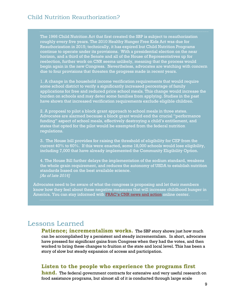The 1966 Child Nutrition Act that first created the SBP is subject to reauthorization roughly every five years. The 2010 Healthy Hunger Free Kids Act was due for Reauthorization in 2015; technically, it has expired but Child Nutrition Programs continue to operate under its provisions. With a presidential election on the near horizon, and a third of the Senate and all of the House of Representatives up for reelection, further work on CNR seems unlikely, meaning that the process would begin again in the new Congress. Nevertheless, advocates are watching with concern due to four provisions that threaten the progress made in recent years.

1. A change in the household income verification requirements that would require some school district to verify a significantly increased percentage of family applications for free and reduced price school meals. This change would increase the burden on schools and may deter some families from applying. Studies in the past have shown that increased verification requirements exclude eligible children.

2. A proposal to pilot a block grant approach to school meals in three states. Advocates are alarmed because a block grant would end the crucial "performance funding" aspect of school meals, effectively destroying a child's entitlement, and states that opted for the pilot would be exempted from the federal nutrition regulations.

3. The House bill provides for raising the threshold of eligibility for CEP from the current 40% to 60%. If this were enacted, some 18,000 schools would lose eligibility, including 7,000 that have already implemented the Community Eligibility Option.

4. The House Bill further delays the implementation of the sodium standard, weakens the whole grain requirement, and reduces the autonomy of USDA to establish nutrition standards based on the best available science. *[As of late 2016]*

Advocates need to be aware of what the congress is proposing and let their members know how they feel about these negative measures that will increase childhood hunger in America. You can stay informed with [FRAC's CNR news and action](http://frac.org/leg-act-center/cnr-priorities/) online center.

# Lessons Learned

**Patience; incrementalism works.** The SBP story shows just how much can be accomplished by a persistent and steady incrementalism. In short, advocates have pressed for significant gains from Congress when they had the votes, and then worked to bring these changes to fruition at the state and local level. This has been a story of slow but steady expansion of access and participation.

### **Listen to the people who experience the programs first**

**hand.** The federal government contracts for extensive and very useful research on food assistance programs, but almost all of it is conducted through large scale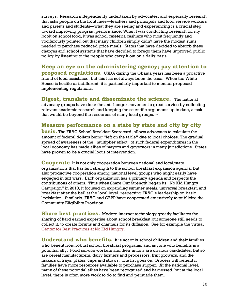surveys. Research independently undertaken by advocates, and especially research that asks people on the front lines—teachers and principals and food service workers and parents and students—what they are seeing and experiencing is a crucial step toward improving program performance. When I was conducting research for my book on school food, it was school cafeteria cashiers who most frequently and vociferously pointed out that many children simply didn't have the modest sums needed to purchase reduced price meals. States that have decided to absorb these charges and school systems that have decided to forego them have improved public policy by listening to the people who carry it out on a daily basis.

**Keep an eye on the administering agency; pay attention to proposed regulations.** USDA during the Obama years has been a proactive friend of food assistance, but this has not always been the case. When the White House is hostile or indifferent, it is particularly important to monitor proposed implementing regulations.

**Digest, translate and disseminate the science.** The national advocacy groups have done the anti-hunger movement a great service by collecting relevant academic research and keeping the scientific arguments up to date, a task that would be beyond the resources of many local groups. <sup>10</sup>

### **Measure performance on a state by state and city by city**

**basis.** The FRAC School Breakfast Scorecard, allows advocates to calculate the amount of federal dollars being "left on the table" due to local choices. The gradual spread of awareness of the "multiplier effect" of such federal expenditures in the local economy has made allies of mayors and governors in many jurisdictions. States have proven to be a crucial locus of intervention.

**Cooperate**. It is not only cooperation between national and local/state organizations that has lent strength to the school breakfast expansion agenda, but also productive cooperation among national level groups who might easily have engaged in turf wars. Each organization has a primary agenda and respects the contributions of others. Thus when Share Our Strength began its "No Kid Hungry Campaign" in 2010, it focused on expanding summer meals, universal breakfast, and breakfast after the bell at the local level, respecting FRAC's leadership on basic legislation. Similarly, FRAC and CBPP have cooperated extensively to publicize the Community Eligibility Provision.

**Share best practices.** Modern internet technology greatly facilitates the sharing of hard earned expertise about school breakfast but someone still needs to collect it, to create forums and channels for its diffusion. See for example the virtual [Center for Best Practices at No Kid Hungry.](https://bestpractices.nokidhungry.org/school-breakfast)

**Understand who benefits.** It is not only school children and their families who benefit from robust school breakfast programs, and anyone who benefits is a potential ally. Food service workers and their unions are obvious candidates, but so are cereal manufacturers, dairy farmers and processors, fruit growers, and the makers of trays, plates, cups and straws. The list goes on. Grocers will benefit if families have more resources available to purchase supper. At the national level, many of these potential allies have been recognized and harnessed, but at the local level, there is often more work to do to find and persuade them.